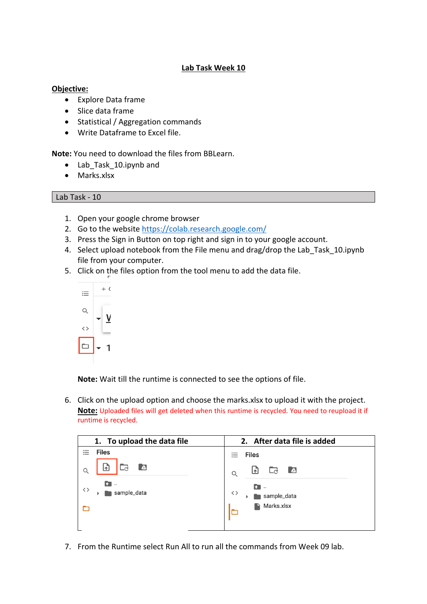## **Lab Task Week 10**

## **Objective:**

- Explore Data frame
- Slice data frame
- Statistical / Aggregation commands
- Write Dataframe to Excel file.

**Note:** You need to download the files from BBLearn.

- Lab Task 10.ipynb and
- Marks.xlsx

## Lab Task - 10

- 1. Open your google chrome browser
- 2. Go to the website https://colab.research.google.com/
- 3. Press the Sign in Button on top right and sign in to your google account.
- 4. Select upload notebook from the File menu and drag/drop the Lab Task 10.ipynb file from your computer.
- 5. Click on the files option from the tool menu to add the data file.



**Note:** Wait till the runtime is connected to see the options of file.

6. Click on the upload option and choose the marks.xlsx to upload it with the project. **Note:** Uploaded files will get deleted when this runtime is recycled. You need to reupload it if runtime is recycled.

| 1. To upload the data file       | 2. After data file is added       |
|----------------------------------|-----------------------------------|
| <b>Files</b>                     | <b>Files</b><br>$:=$              |
| $\blacksquare$<br>اءا<br>Q       | $\bullet$<br>⊡<br>Ld<br>Q         |
| $\bullet$ .<br>くゝ<br>sample_data | $\mathbf{f}$<br>くゝ<br>sample_data |
|                                  | Marks.xlsx                        |
|                                  |                                   |

7. From the Runtime select Run All to run all the commands from Week 09 lab.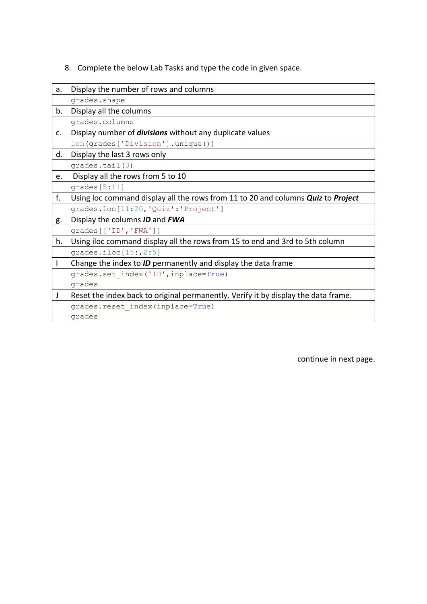8. Complete the below Lab Tasks and type the code in given space.

| a. | Display the number of rows and columns                                             |
|----|------------------------------------------------------------------------------------|
|    | grades.shape                                                                       |
| b. | Display all the columns                                                            |
|    | grades.columns                                                                     |
| c. | Display number of <i>divisions</i> without any duplicate values                    |
|    | len(grades['Division'].unique())                                                   |
| d. | Display the last 3 rows only                                                       |
|    | grades.tail(3)                                                                     |
| e. | Display all the rows from 5 to 10                                                  |
|    | grades[5:11]                                                                       |
| f. | Using loc command display all the rows from 11 to 20 and columns Quiz to Project   |
|    | grades.loc[11:20, 'Quiz': 'Project']                                               |
| g. | Display the columns <b>ID</b> and <b>FWA</b>                                       |
|    | grades[['ID', 'FWA']]                                                              |
| h. | Using iloc command display all the rows from 15 to end and 3rd to 5th column       |
|    | grades.iloc $[15:, 2:5]$                                                           |
| L  | Change the index to ID permanently and display the data frame                      |
|    | grades.set index('ID', inplace=True)                                               |
|    | grades                                                                             |
| J  | Reset the index back to original permanently. Verify it by display the data frame. |
|    | grades.reset index(inplace=True)                                                   |
|    | grades                                                                             |

continue in next page.